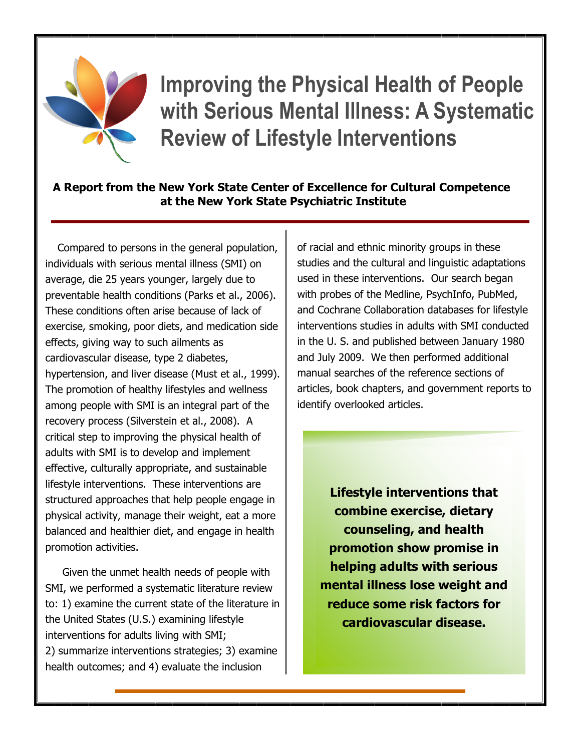

**Improving the Physical Health of People with Serious Mental Illness: A Systematic Review of Lifestyle Interventions**

## **A Report from the New York State Center of Excellence for Cultural Competence at the New York State Psychiatric Institute**

Compared to persons in the general population, individuals with serious mental illness (SMI) on average, die 25 years younger, largely due to preventable health conditions (Parks et al., 2006). These conditions often arise because of lack of exercise, smoking, poor diets, and medication side effects, giving way to such ailments as cardiovascular disease, type 2 diabetes, hypertension, and liver disease (Must et al., 1999). The promotion of healthy lifestyles and wellness among people with SMI is an integral part of the recovery process (Silverstein et al., 2008). A critical step to improving the physical health of adults with SMI is to develop and implement effective, culturally appropriate, and sustainable lifestyle interventions. These interventions are structured approaches that help people engage in physical activity, manage their weight, eat a more balanced and healthier diet, and engage in health promotion activities.

Given the unmet health needs of people with SMI, we performed a systematic literature review to: 1) examine the current state of the literature in the United States (U.S.) examining lifestyle interventions for adults living with SMI; 2) summarize interventions strategies; 3) examine health outcomes; and 4) evaluate the inclusion

of racial and ethnic minority groups in these studies and the cultural and linguistic adaptations used in these interventions. Our search began with probes of the Medline, PsychInfo, PubMed, and Cochrane Collaboration databases for lifestyle interventions studies in adults with SMI conducted in the U. S. and published between January 1980 and July 2009. We then performed additional manual searches of the reference sections of articles, book chapters, and government reports to identify overlooked articles.

> **Lifestyle interventions that combine exercise, dietary counseling, and health promotion show promise in helping adults with serious mental illness lose weight and reduce some risk factors for cardiovascular disease.**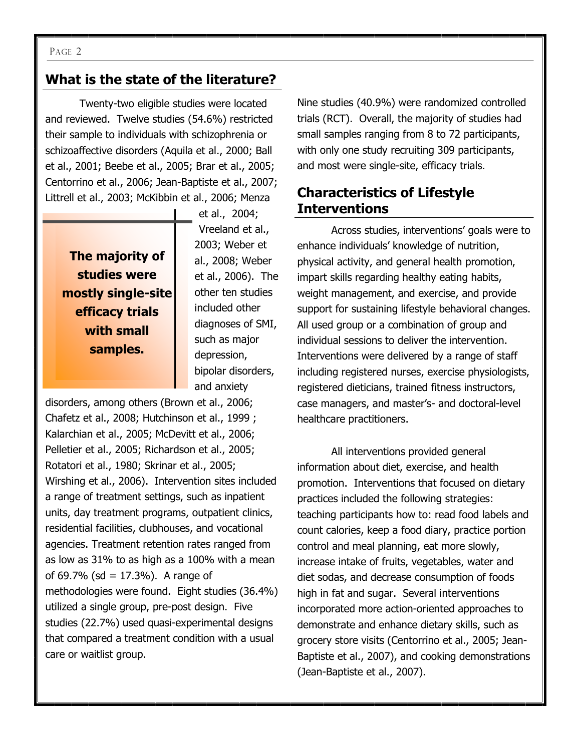#### PAGE 2

## **What is the state of the literature?**

Twenty-two eligible studies were located and reviewed. Twelve studies (54.6%) restricted their sample to individuals with schizophrenia or schizoaffective disorders (Aquila et al., 2000; Ball et al., 2001; Beebe et al., 2005; Brar et al., 2005; Centorrino et al., 2006; Jean-Baptiste et al., 2007; Littrell et al., 2003; McKibbin et al., 2006; Menza

**The majority of studies were mostly single-site efficacy trials with small samples.** 

et al., 2004; Vreeland et al., 2003; Weber et al., 2008; Weber et al., 2006). The other ten studies included other diagnoses of SMI, such as major depression, bipolar disorders, and anxiety

disorders, among others (Brown et al., 2006; Chafetz et al., 2008; Hutchinson et al., 1999 ; Kalarchian et al., 2005; McDevitt et al., 2006; Pelletier et al., 2005; Richardson et al., 2005; Rotatori et al., 1980; Skrinar et al., 2005; Wirshing et al., 2006). Intervention sites included a range of treatment settings, such as inpatient units, day treatment programs, outpatient clinics, residential facilities, clubhouses, and vocational agencies. Treatment retention rates ranged from as low as 31% to as high as a 100% with a mean of 69.7% (sd =  $17.3$ %). A range of methodologies were found. Eight studies (36.4%) utilized a single group, pre-post design. Five studies (22.7%) used quasi-experimental designs that compared a treatment condition with a usual care or waitlist group.

Nine studies (40.9%) were randomized controlled trials (RCT). Overall, the majority of studies had small samples ranging from 8 to 72 participants, with only one study recruiting 309 participants, and most were single-site, efficacy trials.

## **Characteristics of Lifestyle Interventions**

Across studies, interventions' goals were to enhance individuals' knowledge of nutrition, physical activity, and general health promotion, impart skills regarding healthy eating habits, weight management, and exercise, and provide support for sustaining lifestyle behavioral changes. All used group or a combination of group and individual sessions to deliver the intervention. Interventions were delivered by a range of staff including registered nurses, exercise physiologists, registered dieticians, trained fitness instructors, case managers, and master's- and doctoral-level healthcare practitioners.

All interventions provided general information about diet, exercise, and health promotion. Interventions that focused on dietary practices included the following strategies: teaching participants how to: read food labels and count calories, keep a food diary, practice portion control and meal planning, eat more slowly, increase intake of fruits, vegetables, water and diet sodas, and decrease consumption of foods high in fat and sugar. Several interventions incorporated more action-oriented approaches to demonstrate and enhance dietary skills, such as grocery store visits (Centorrino et al., 2005; Jean-Baptiste et al., 2007), and cooking demonstrations (Jean-Baptiste et al., 2007).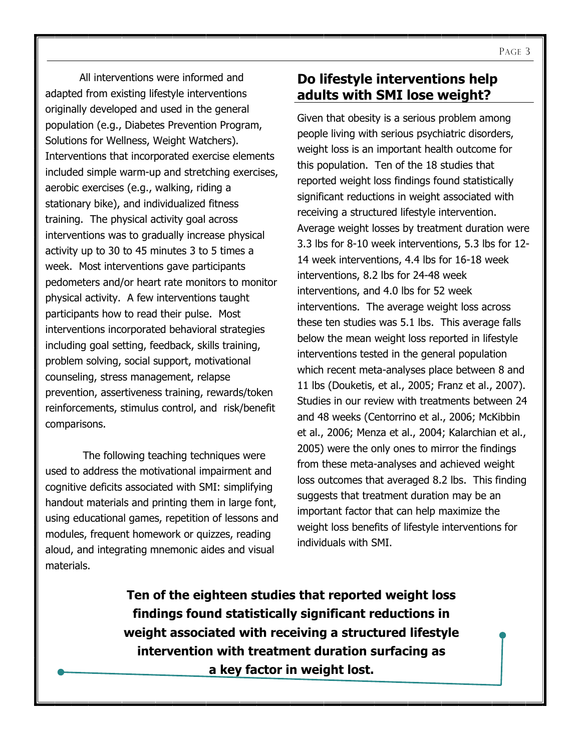All interventions were informed and adapted from existing lifestyle interventions originally developed and used in the general population (e.g., Diabetes Prevention Program, Solutions for Wellness, Weight Watchers). Interventions that incorporated exercise elements included simple warm-up and stretching exercises, aerobic exercises (e.g., walking, riding a stationary bike), and individualized fitness training. The physical activity goal across interventions was to gradually increase physical activity up to 30 to 45 minutes 3 to 5 times a week. Most interventions gave participants pedometers and/or heart rate monitors to monitor physical activity. A few interventions taught participants how to read their pulse. Most interventions incorporated behavioral strategies including goal setting, feedback, skills training, problem solving, social support, motivational counseling, stress management, relapse prevention, assertiveness training, rewards/token reinforcements, stimulus control, and risk/benefit comparisons.

The following teaching techniques were used to address the motivational impairment and cognitive deficits associated with SMI: simplifying handout materials and printing them in large font, using educational games, repetition of lessons and modules, frequent homework or quizzes, reading aloud, and integrating mnemonic aides and visual materials.

## **Do lifestyle interventions help adults with SMI lose weight?**

Given that obesity is a serious problem among people living with serious psychiatric disorders, weight loss is an important health outcome for this population. Ten of the 18 studies that reported weight loss findings found statistically significant reductions in weight associated with receiving a structured lifestyle intervention. Average weight losses by treatment duration were 3.3 lbs for 8-10 week interventions, 5.3 lbs for 12- 14 week interventions, 4.4 lbs for 16-18 week interventions, 8.2 lbs for 24-48 week interventions, and 4.0 lbs for 52 week interventions. The average weight loss across these ten studies was 5.1 lbs. This average falls below the mean weight loss reported in lifestyle interventions tested in the general population which recent meta-analyses place between 8 and 11 lbs (Douketis, et al., 2005; Franz et al., 2007). Studies in our review with treatments between 24 and 48 weeks (Centorrino et al., 2006; McKibbin et al., 2006; Menza et al., 2004; Kalarchian et al., 2005) were the only ones to mirror the findings from these meta-analyses and achieved weight loss outcomes that averaged 8.2 lbs. This finding suggests that treatment duration may be an important factor that can help maximize the weight loss benefits of lifestyle interventions for individuals with SMI.

**Ten of the eighteen studies that reported weight loss findings found statistically significant reductions in weight associated with receiving a structured lifestyle intervention with treatment duration surfacing as a key factor in weight lost.**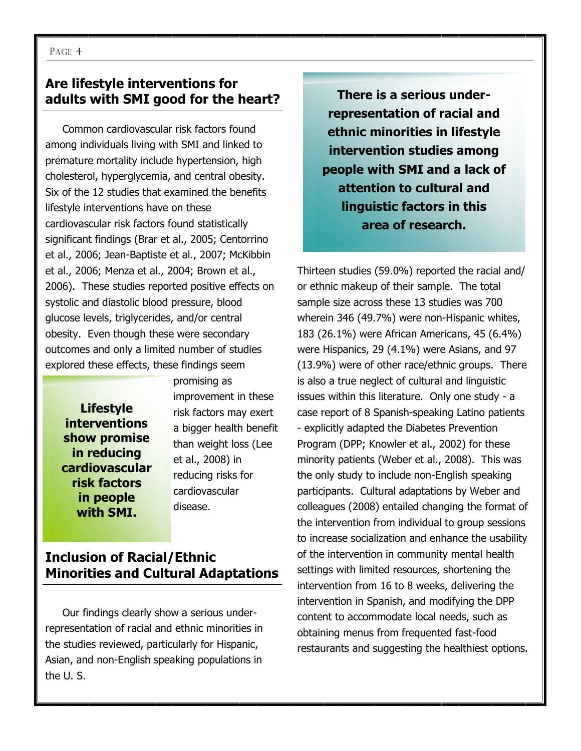## **Are lifestyle interventions for adults with SMI good for the heart?**

Common cardiovascular risk factors found among individuals living with SMI and linked to premature mortality include hypertension, high cholesterol, hyperglycemia, and central obesity. Six of the 12 studies that examined the benefits lifestyle interventions have on these cardiovascular risk factors found statistically significant findings (Brar et al., 2005; Centorrino et al., 2006; Jean-Baptiste et al., 2007; McKibbin et al., 2006; Menza et al., 2004; Brown et al., 2006). These studies reported positive effects on systolic and diastolic blood pressure, blood glucose levels, triglycerides, and/or central obesity. Even though these were secondary outcomes and only a limited number of studies explored these effects, these findings seem

**Lifestyle interventions show promise in reducing cardiovascular risk factors in people with SMI.**

promising as improvement in these risk factors may exert a bigger health benefit than weight loss (Lee et al., 2008) in reducing risks for cardiovascular disease.

## **Inclusion of Racial/Ethnic Minorities and Cultural Adaptations**

Our findings clearly show a serious underrepresentation of racial and ethnic minorities in the studies reviewed, particularly for Hispanic, Asian, and non-English speaking populations in the U. S.

**There is a serious underrepresentation of racial and ethnic minorities in lifestyle intervention studies among people with SMI and a lack of attention to cultural and linguistic factors in this area of research.**

Thirteen studies (59.0%) reported the racial and/ or ethnic makeup of their sample. The total sample size across these 13 studies was 700 wherein 346 (49.7%) were non-Hispanic whites, 183 (26.1%) were African Americans, 45 (6.4%) were Hispanics, 29 (4.1%) were Asians, and 97 (13.9%) were of other race/ethnic groups. There is also a true neglect of cultural and linguistic issues within this literature. Only one study - a case report of 8 Spanish-speaking Latino patients - explicitly adapted the Diabetes Prevention Program (DPP; Knowler et al., 2002) for these minority patients (Weber et al., 2008). This was the only study to include non-English speaking participants. Cultural adaptations by Weber and colleagues (2008) entailed changing the format of the intervention from individual to group sessions to increase socialization and enhance the usability of the intervention in community mental health settings with limited resources, shortening the intervention from 16 to 8 weeks, delivering the intervention in Spanish, and modifying the DPP content to accommodate local needs, such as obtaining menus from frequented fast-food restaurants and suggesting the healthiest options.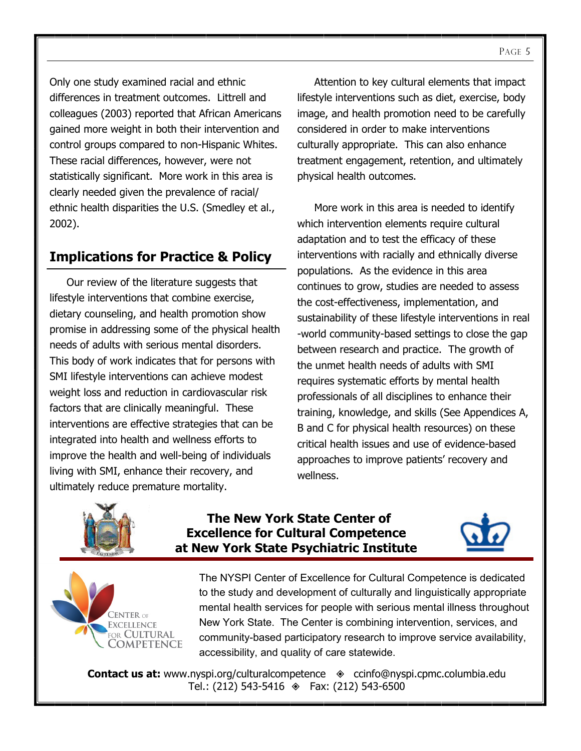Only one study examined racial and ethnic differences in treatment outcomes. Littrell and colleagues (2003) reported that African Americans gained more weight in both their intervention and control groups compared to non-Hispanic Whites. These racial differences, however, were not statistically significant. More work in this area is clearly needed given the prevalence of racial/ ethnic health disparities the U.S. (Smedley et al., 2002).

## **Implications for Practice & Policy**

Our review of the literature suggests that lifestyle interventions that combine exercise, dietary counseling, and health promotion show promise in addressing some of the physical health needs of adults with serious mental disorders. This body of work indicates that for persons with SMI lifestyle interventions can achieve modest weight loss and reduction in cardiovascular risk factors that are clinically meaningful. These interventions are effective strategies that can be integrated into health and wellness efforts to improve the health and well-being of individuals living with SMI, enhance their recovery, and ultimately reduce premature mortality.

Attention to key cultural elements that impact lifestyle interventions such as diet, exercise, body image, and health promotion need to be carefully considered in order to make interventions culturally appropriate. This can also enhance treatment engagement, retention, and ultimately physical health outcomes.

More work in this area is needed to identify which intervention elements require cultural adaptation and to test the efficacy of these interventions with racially and ethnically diverse populations. As the evidence in this area continues to grow, studies are needed to assess the cost-effectiveness, implementation, and sustainability of these lifestyle interventions in real -world community-based settings to close the gap between research and practice. The growth of the unmet health needs of adults with SMI requires systematic efforts by mental health professionals of all disciplines to enhance their training, knowledge, and skills (See Appendices A, B and C for physical health resources) on these critical health issues and use of evidence-based approaches to improve patients' recovery and wellness.



### **The New York State Center of Excellence for Cultural Competence at New York State Psychiatric Institute**





The NYSPI Center of Excellence for Cultural Competence is dedicated to the study and development of culturally and linguistically appropriate mental health services for people with serious mental illness throughout New York State. The Center is combining intervention, services, and community-based participatory research to improve service availability, accessibility, and quality of care statewide.

**Contact us at:** www.nyspi.org/culturalcompetence  $\Diamond$  ccinfo@nyspi.cpmc.columbia.edu Tel.:  $(212)$  543-5416  $\textcircled{*}$  Fax:  $(212)$  543-6500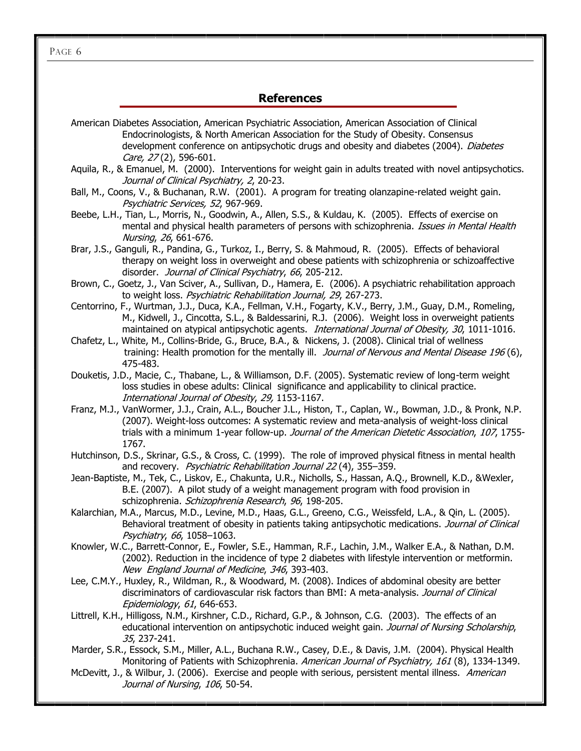PAGE 6

### **References**

- American Diabetes Association, American Psychiatric Association, American Association of Clinical Endocrinologists, & North American Association for the Study of Obesity. Consensus development conference on antipsychotic drugs and obesity and diabetes (2004). Diabetes Care, 27 (2), 596-601.
- Aquila, R., & Emanuel, M. (2000). Interventions for weight gain in adults treated with novel antipsychotics. Journal of Clinical Psychiatry, 2, 20-23.
- Ball, M., Coons, V., & Buchanan, R.W. (2001). A program for treating olanzapine-related weight gain. Psychiatric Services, 52, 967-969.
- Beebe, L.H., Tian, L., Morris, N., Goodwin, A., Allen, S.S., & Kuldau, K. (2005). Effects of exercise on mental and physical health parameters of persons with schizophrenia. *Issues in Mental Health* Nursing, 26, 661-676.
- Brar, J.S., Ganguli, R., Pandina, G., Turkoz, I., Berry, S. & Mahmoud, R. (2005). Effects of behavioral therapy on weight loss in overweight and obese patients with schizophrenia or schizoaffective disorder. Journal of Clinical Psychiatry, 66, 205-212.
- Brown, C., Goetz, J., Van Sciver, A., Sullivan, D., Hamera, E. (2006). A psychiatric rehabilitation approach to weight loss. Psychiatric Rehabilitation Journal, 29, 267-273.
- Centorrino, F., Wurtman, J.J., Duca, K.A., Fellman, V.H., Fogarty, K.V., Berry, J.M., Guay, D.M., Romeling, M., Kidwell, J., Cincotta, S.L., & Baldessarini, R.J. (2006). Weight loss in overweight patients maintained on atypical antipsychotic agents. *International Journal of Obesity, 30*, 1011-1016.
- Chafetz, L., White, M., Collins-Bride, G., Bruce, B.A., & Nickens, J. (2008). Clinical trial of wellness training: Health promotion for the mentally ill. Journal of Nervous and Mental Disease 196 (6), 475-483.
- Douketis, J.D., Macie, C., Thabane, L., & Williamson, D.F. (2005). Systematic review of long-term weight loss studies in obese adults: Clinical significance and applicability to clinical practice. International Journal of Obesity, 29, 1153-1167.
- Franz, M.J., VanWormer, J.J., Crain, A.L., Boucher J.L., Histon, T., Caplan, W., Bowman, J.D., & Pronk, N.P. (2007). Weight-loss outcomes: A systematic review and meta-analysis of weight-loss clinical trials with a minimum 1-year follow-up. Journal of the American Dietetic Association, 107, 1755-1767.
- Hutchinson, D.S., Skrinar, G.S., & Cross, C. (1999). The role of improved physical fitness in mental health and recovery. Psychiatric Rehabilitation Journal 22(4), 355-359.
- Jean-Baptiste, M., Tek, C., Liskov, E., Chakunta, U.R., Nicholls, S., Hassan, A.Q., Brownell, K.D., &Wexler, B.E. (2007). A pilot study of a weight management program with food provision in schizophrenia. Schizophrenia Research, 96, 198-205.
- Kalarchian, M.A., Marcus, M.D., Levine, M.D., Haas, G.L., Greeno, C.G., Weissfeld, L.A., & Qin, L. (2005). Behavioral treatment of obesity in patients taking antipsychotic medications. Journal of Clinical Psychiatry, 66, 1058–1063.
- Knowler, W.C., Barrett-Connor, E., Fowler, S.E., Hamman, R.F., Lachin, J.M., Walker E.A., & Nathan, D.M. (2002). Reduction in the incidence of type 2 diabetes with lifestyle intervention or metformin. New England Journal of Medicine, 346, 393-403.
- Lee, C.M.Y., Huxley, R., Wildman, R., & Woodward, M. (2008). Indices of abdominal obesity are better discriminators of cardiovascular risk factors than BMI: A meta-analysis. Journal of Clinical Epidemiology, 61, 646-653.
- Littrell, K.H., Hilligoss, N.M., Kirshner, C.D., Richard, G.P., & Johnson, C.G. (2003). The effects of an educational intervention on antipsychotic induced weight gain. Journal of Nursing Scholarship, 35, 237-241.
- Marder, S.R., Essock, S.M., Miller, A.L., Buchana R.W., Casey, D.E., & Davis, J.M. (2004). Physical Health Monitoring of Patients with Schizophrenia. American Journal of Psychiatry, 161 (8), 1334-1349.
- McDevitt, J., & Wilbur, J. (2006). Exercise and people with serious, persistent mental illness. American Journal of Nursing, 106, 50-54.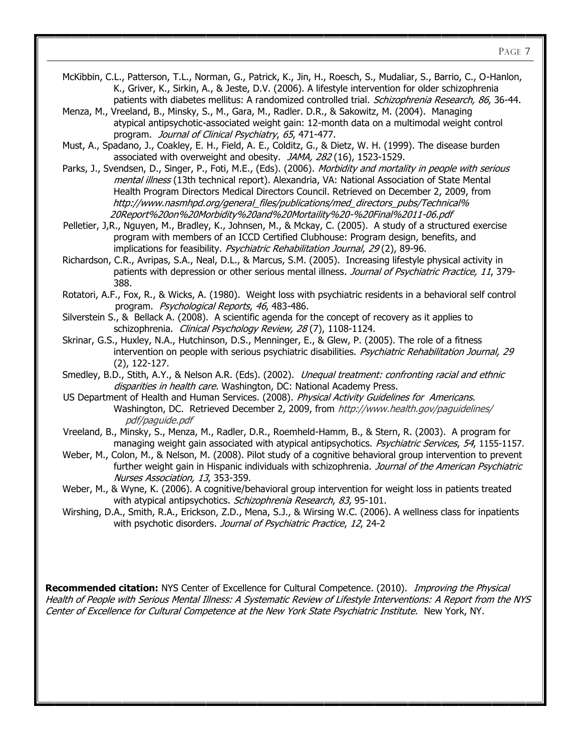PAGE 7

- McKibbin, C.L., Patterson, T.L., Norman, G., Patrick, K., Jin, H., Roesch, S., Mudaliar, S., Barrio, C., O-Hanlon, K., Griver, K., Sirkin, A., & Jeste, D.V. (2006). A lifestyle intervention for older schizophrenia patients with diabetes mellitus: A randomized controlled trial. Schizophrenia Research, 86, 36-44.
- Menza, M., Vreeland, B., Minsky, S., M., Gara, M., Radler. D.R., & Sakowitz, M. (2004). Managing atypical antipsychotic-associated weight gain: 12-month data on a multimodal weight control program. Journal of Clinical Psychiatry, 65, 471-477.

Must, A., Spadano, J., Coakley, E. H., Field, A. E., Colditz, G., & Dietz, W. H. (1999). The disease burden associated with overweight and obesity. JAMA, 282 (16), 1523-1529.

Parks, J., Svendsen, D., Singer, P., Foti, M.E., (Eds). (2006). *Morbidity and mortality in people with serious* mental illness (13th technical report). Alexandria, VA: National Association of State Mental Health Program Directors Medical Directors Council. Retrieved on December 2, 2009, from [http://www.nasmhpd.org/general\\_files/publications/med\\_directors\\_pubs/Technical%](http://www.nasmhpd.org/general_files/publications/med_directors_pubs/Technical%20Report%20on%20Morbidity%20and%20Mortaility%20-%20Final%2011-06.pdf)  [20Report%20on%20Morbidity%20and%20Mortaility%20-%20Final%2011-06.pdf](http://www.nasmhpd.org/general_files/publications/med_directors_pubs/Technical%20Report%20on%20Morbidity%20and%20Mortaility%20-%20Final%2011-06.pdf)

 Pelletier, J,R., Nguyen, M., Bradley, K., Johnsen, M., & Mckay, C. (2005). A study of a structured exercise program with members of an ICCD Certified Clubhouse: Program design, benefits, and implications for feasibility. *Psychiatric Rehabilitation Journal, 29* (2), 89-96.

Richardson, C.R., Avripas, S.A., Neal, D.L., & Marcus, S.M. (2005). Increasing lifestyle physical activity in patients with depression or other serious mental illness. Journal of Psychiatric Practice, 11, 379-388.

Rotatori, A.F., Fox, R., & Wicks, A. (1980). Weight loss with psychiatric residents in a behavioral self control program. Psychological Reports, 46, 483-486.

Silverstein S., & Bellack A. (2008). A scientific agenda for the concept of recovery as it applies to schizophrenia. Clinical Psychology Review, 28(7), 1108-1124.

Skrinar, G.S., Huxley, N.A., Hutchinson, D.S., Menninger, E., & Glew, P. (2005). The role of a fitness intervention on people with serious psychiatric disabilities. Psychiatric Rehabilitation Journal, 29 (2), 122-127.

Smedley, B.D., Stith, A.Y., & Nelson A.R. (Eds). (2002). Unequal treatment: confronting racial and ethnic disparities in health care. Washington, DC: National Academy Press.

US Department of Health and Human Services. (2008). Physical Activity Guidelines for Americans. Washington, DC. Retrieved December 2, 2009, from [http://www.health.gov/paguidelines/](http://www.health.gov/paguidelines/pdf/paguide.pdf)  [pdf/paguide.pdf](http://www.health.gov/paguidelines/pdf/paguide.pdf)

 Vreeland, B., Minsky, S., Menza, M., Radler, D.R., Roemheld-Hamm, B., & Stern, R. (2003). A program for managing weight gain associated with atypical antipsychotics. Psychiatric Services, 54, 1155-1157.

Weber, M., Colon, M., & Nelson, M. (2008). Pilot study of a cognitive behavioral group intervention to prevent further weight gain in Hispanic individuals with schizophrenia. Journal of the American Psychiatric Nurses Association, 13, 353-359.

Weber, M., & Wyne, K. (2006). A cognitive/behavioral group intervention for weight loss in patients treated with atypical antipsychotics. Schizophrenia Research, 83, 95-101.

Wirshing, D.A., Smith, R.A., Erickson, Z.D., Mena, S.J., & Wirsing W.C. (2006). A wellness class for inpatients with psychotic disorders. Journal of Psychiatric Practice, 12, 24-2

**Recommended citation:** NYS Center of Excellence for Cultural Competence. (2010). Improving the Physical Health of People with Serious Mental Illness: A Systematic Review of Lifestyle Interventions: A Report from the NYS Center of Excellence for Cultural Competence at the New York State Psychiatric Institute. New York, NY.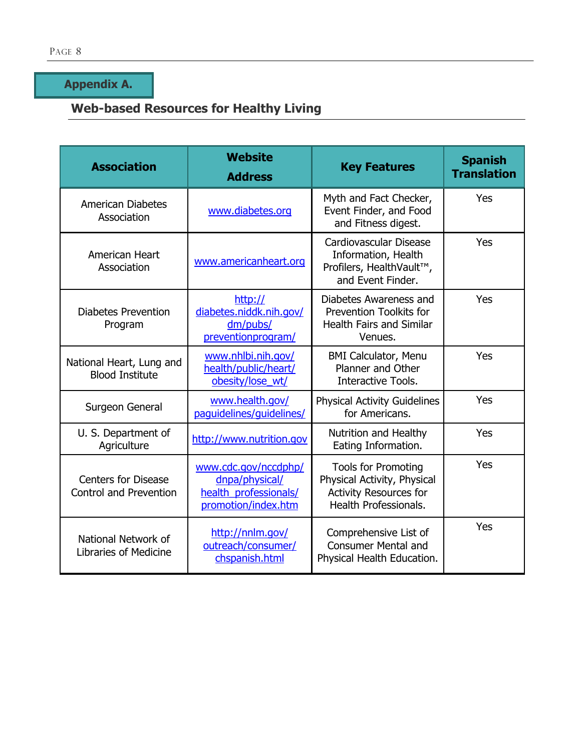**Appendix A.** 

# **Web-based Resources for Healthy Living**

| <b>Association</b>                                   | <b>Website</b><br><b>Address</b>                                                       | <b>Key Features</b>                                                                                                 | <b>Spanish</b><br><b>Translation</b> |
|------------------------------------------------------|----------------------------------------------------------------------------------------|---------------------------------------------------------------------------------------------------------------------|--------------------------------------|
| <b>American Diabetes</b><br>Association              | www.diabetes.org                                                                       | Myth and Fact Checker,<br>Event Finder, and Food<br>and Fitness digest.                                             | Yes                                  |
| American Heart<br>Association                        | www.americanheart.org                                                                  | Cardiovascular Disease<br>Information, Health<br>Profilers, HealthVault™,<br>and Event Finder.                      | Yes                                  |
| <b>Diabetes Prevention</b><br>Program                | http://<br>diabetes.niddk.nih.gov/<br>dm/pubs/<br>preventionprogram/                   | Diabetes Awareness and<br>Prevention Toolkits for<br><b>Health Fairs and Similar</b><br>Venues.                     | Yes                                  |
| National Heart, Lung and<br><b>Blood Institute</b>   | www.nhlbi.nih.gov/<br>health/public/heart/<br>obesity/lose wt/                         | <b>BMI Calculator, Menu</b><br>Planner and Other<br>Interactive Tools.                                              | Yes                                  |
| Surgeon General                                      | www.health.gov/<br>paguidelines/guidelines/                                            | <b>Physical Activity Guidelines</b><br>for Americans.                                                               | Yes                                  |
| U. S. Department of<br>Agriculture                   | http://www.nutrition.gov                                                               | Nutrition and Healthy<br>Eating Information.                                                                        | Yes                                  |
| <b>Centers for Disease</b><br>Control and Prevention | www.cdc.gov/nccdphp/<br>dnpa/physical/<br>health_professionals/<br>promotion/index.htm | <b>Tools for Promoting</b><br>Physical Activity, Physical<br><b>Activity Resources for</b><br>Health Professionals. | Yes                                  |
| National Network of<br><b>Libraries of Medicine</b>  | http://nnlm.gov/<br>outreach/consumer/<br>chspanish.html                               | Comprehensive List of<br><b>Consumer Mental and</b><br>Physical Health Education.                                   | Yes                                  |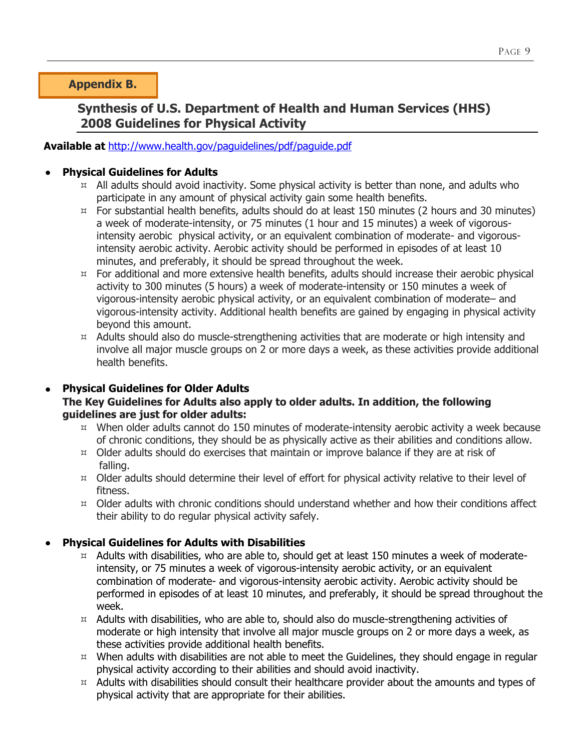**Appendix B.** 

## **Synthesis of U.S. Department of Health and Human Services (HHS) 2008 Guidelines for Physical Activity**

### **Available at** <http://www.health.gov/paguidelines/pdf/paguide.pdf>

### **Physical Guidelines for Adults**

- $\mu$  All adults should avoid inactivity. Some physical activity is better than none, and adults who participate in any amount of physical activity gain some health benefits.
- $\mu$  For substantial health benefits, adults should do at least 150 minutes (2 hours and 30 minutes) a week of moderate-intensity, or 75 minutes (1 hour and 15 minutes) a week of vigorousintensity aerobic physical activity, or an equivalent combination of moderate- and vigorousintensity aerobic activity. Aerobic activity should be performed in episodes of at least 10 minutes, and preferably, it should be spread throughout the week.
- $H$  For additional and more extensive health benefits, adults should increase their aerobic physical activity to 300 minutes (5 hours) a week of moderate-intensity or 150 minutes a week of vigorous-intensity aerobic physical activity, or an equivalent combination of moderate– and vigorous-intensity activity. Additional health benefits are gained by engaging in physical activity beyond this amount.
- $H$  Adults should also do muscle-strengthening activities that are moderate or high intensity and involve all major muscle groups on 2 or more days a week, as these activities provide additional health benefits.

### **Physical Guidelines for Older Adults The Key Guidelines for Adults also apply to older adults. In addition, the following guidelines are just for older adults:**

- $\mu$  When older adults cannot do 150 minutes of moderate-intensity aerobic activity a week because of chronic conditions, they should be as physically active as their abilities and conditions allow.
- $\mu$  Older adults should do exercises that maintain or improve balance if they are at risk of falling.
- $\mu$  Older adults should determine their level of effort for physical activity relative to their level of fitness.
- $\mu$  Older adults with chronic conditions should understand whether and how their conditions affect their ability to do regular physical activity safely.

### **Physical Guidelines for Adults with Disabilities**

- $\mu$  Adults with disabilities, who are able to, should get at least 150 minutes a week of moderateintensity, or 75 minutes a week of vigorous-intensity aerobic activity, or an equivalent combination of moderate- and vigorous-intensity aerobic activity. Aerobic activity should be performed in episodes of at least 10 minutes, and preferably, it should be spread throughout the week.
- $\mu$  Adults with disabilities, who are able to, should also do muscle-strengthening activities of moderate or high intensity that involve all major muscle groups on 2 or more days a week, as these activities provide additional health benefits.
- $x$  When adults with disabilities are not able to meet the Guidelines, they should engage in regular physical activity according to their abilities and should avoid inactivity.
- $\mu$  Adults with disabilities should consult their healthcare provider about the amounts and types of physical activity that are appropriate for their abilities.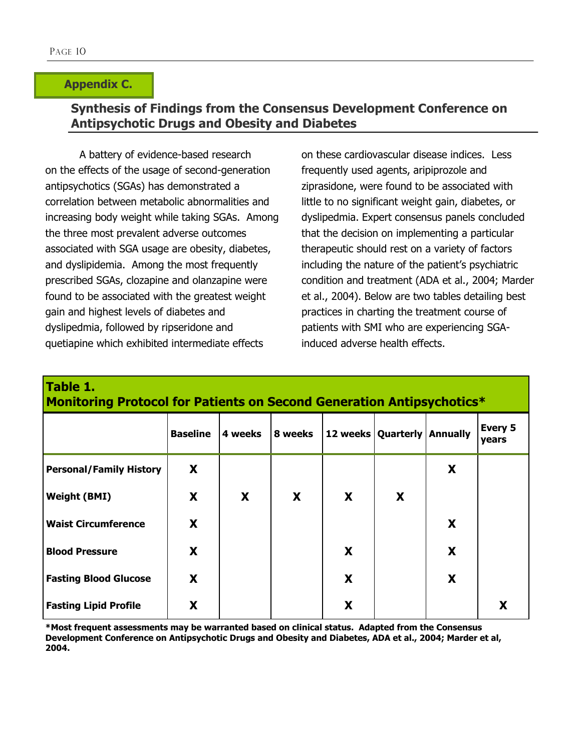### **Appendix C.**

## **Synthesis of Findings from the Consensus Development Conference on Antipsychotic Drugs and Obesity and Diabetes**

A battery of evidence-based research on the effects of the usage of second-generation antipsychotics (SGAs) has demonstrated a correlation between metabolic abnormalities and increasing body weight while taking SGAs. Among the three most prevalent adverse outcomes associated with SGA usage are obesity, diabetes, and dyslipidemia. Among the most frequently prescribed SGAs, clozapine and olanzapine were found to be associated with the greatest weight gain and highest levels of diabetes and dyslipedmia, followed by ripseridone and quetiapine which exhibited intermediate effects

on these cardiovascular disease indices. Less frequently used agents, aripiprozole and ziprasidone, were found to be associated with little to no significant weight gain, diabetes, or dyslipedmia. Expert consensus panels concluded that the decision on implementing a particular therapeutic should rest on a variety of factors including the nature of the patient's psychiatric condition and treatment (ADA et al., 2004; Marder et al., 2004). Below are two tables detailing best practices in charting the treatment course of patients with SMI who are experiencing SGAinduced adverse health effects.

**Monitoring Protocol for Patients on Second Generation Antipsychotics\***

| Table 1.                                     |  |  |  |
|----------------------------------------------|--|--|--|
| Manitaring Protocol for Pationts on Second C |  |  |  |

|                                | <b>Baseline</b> | 4 weeks | 8 weeks | 12 weeks   Quarterly   Annually |   |   | Every 5<br>years |
|--------------------------------|-----------------|---------|---------|---------------------------------|---|---|------------------|
| <b>Personal/Family History</b> | X               |         |         |                                 |   | X |                  |
| <b>Weight (BMI)</b>            | X               | X       | X       | X                               | X |   |                  |
| <b>Waist Circumference</b>     | X               |         |         |                                 |   | X |                  |
| <b>Blood Pressure</b>          | X               |         |         | X                               |   | X |                  |
| <b>Fasting Blood Glucose</b>   | X               |         |         | X                               |   | X |                  |
| <b>Fasting Lipid Profile</b>   | X               |         |         | X                               |   |   | X                |

**\*Most frequent assessments may be warranted based on clinical status. Adapted from the Consensus Development Conference on Antipsychotic Drugs and Obesity and Diabetes, ADA et al., 2004; Marder et al, 2004.**